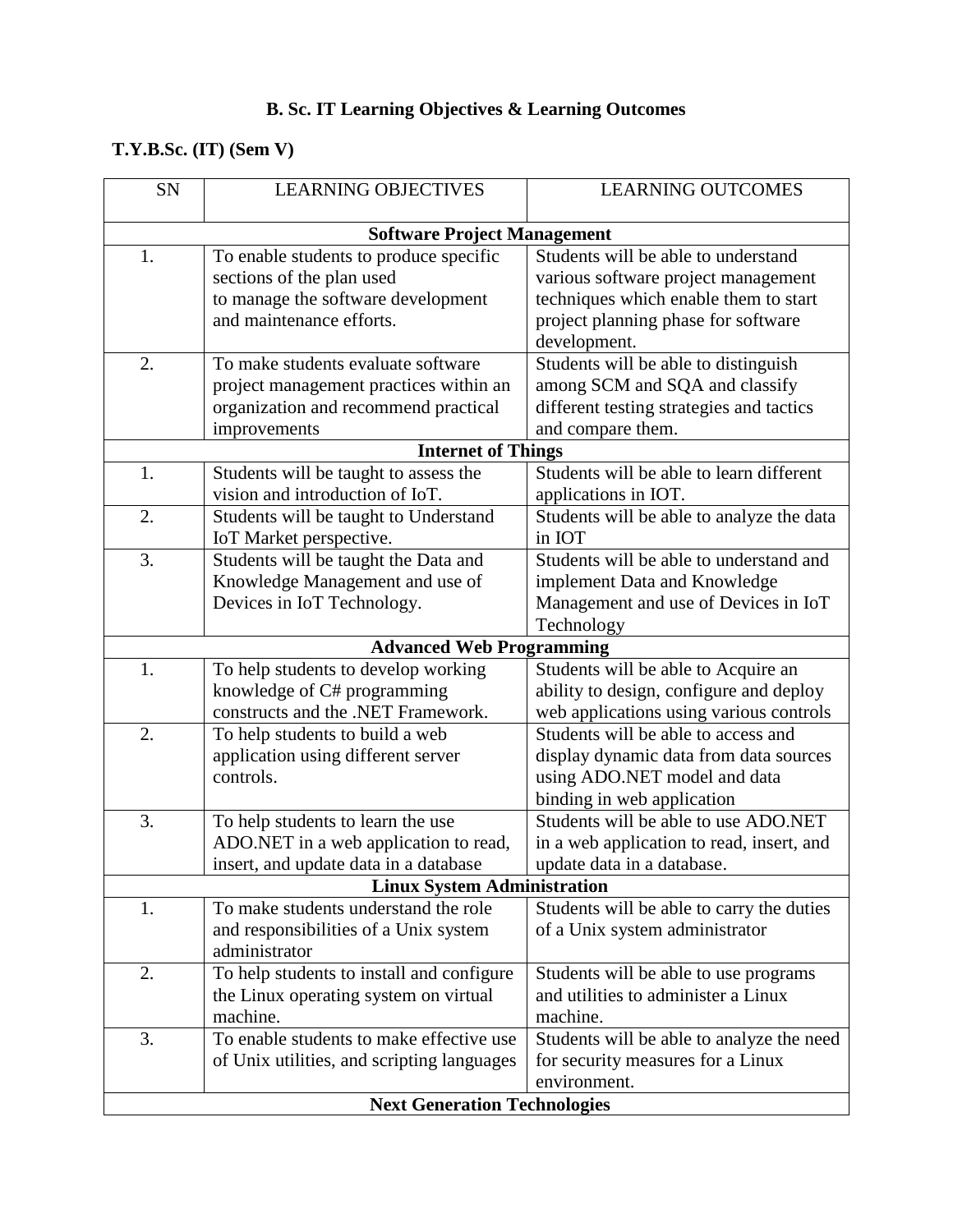## **B. Sc. IT Learning Objectives & Learning Outcomes**

## **T.Y.B.Sc. (IT) (Sem V)**

| SN                                  | <b>LEARNING OBJECTIVES</b>                 | <b>LEARNING OUTCOMES</b>                  |
|-------------------------------------|--------------------------------------------|-------------------------------------------|
|                                     |                                            |                                           |
|                                     | <b>Software Project Management</b>         |                                           |
| 1.                                  | To enable students to produce specific     | Students will be able to understand       |
|                                     | sections of the plan used                  | various software project management       |
|                                     | to manage the software development         | techniques which enable them to start     |
|                                     | and maintenance efforts.                   | project planning phase for software       |
|                                     |                                            | development.                              |
| 2.                                  | To make students evaluate software         | Students will be able to distinguish      |
|                                     | project management practices within an     | among SCM and SQA and classify            |
|                                     | organization and recommend practical       | different testing strategies and tactics  |
|                                     | improvements                               | and compare them.                         |
|                                     | <b>Internet of Things</b>                  |                                           |
| 1.                                  | Students will be taught to assess the      | Students will be able to learn different  |
|                                     | vision and introduction of IoT.            | applications in IOT.                      |
| 2.                                  | Students will be taught to Understand      | Students will be able to analyze the data |
|                                     | IoT Market perspective.                    | in IOT                                    |
| 3.                                  | Students will be taught the Data and       | Students will be able to understand and   |
|                                     | Knowledge Management and use of            | implement Data and Knowledge              |
|                                     | Devices in IoT Technology.                 | Management and use of Devices in IoT      |
|                                     |                                            | Technology                                |
|                                     | <b>Advanced Web Programming</b>            |                                           |
| 1.                                  | To help students to develop working        | Students will be able to Acquire an       |
|                                     | knowledge of C# programming                | ability to design, configure and deploy   |
|                                     | constructs and the .NET Framework.         | web applications using various controls   |
| 2.                                  | To help students to build a web            | Students will be able to access and       |
|                                     | application using different server         | display dynamic data from data sources    |
|                                     | controls.                                  | using ADO.NET model and data              |
|                                     |                                            | binding in web application                |
| 3.                                  | To help students to learn the use          | Students will be able to use ADO.NET      |
|                                     | ADO.NET in a web application to read,      | in a web application to read, insert, and |
|                                     | insert, and update data in a database      | update data in a database.                |
|                                     | <b>Linux System Administration</b>         |                                           |
| 1.                                  | To make students understand the role       | Students will be able to carry the duties |
|                                     | and responsibilities of a Unix system      | of a Unix system administrator            |
|                                     | administrator                              |                                           |
| 2.                                  | To help students to install and configure  | Students will be able to use programs     |
|                                     | the Linux operating system on virtual      | and utilities to administer a Linux       |
|                                     | machine.                                   | machine.                                  |
| 3.                                  | To enable students to make effective use   | Students will be able to analyze the need |
|                                     | of Unix utilities, and scripting languages | for security measures for a Linux         |
|                                     |                                            | environment.                              |
| <b>Next Generation Technologies</b> |                                            |                                           |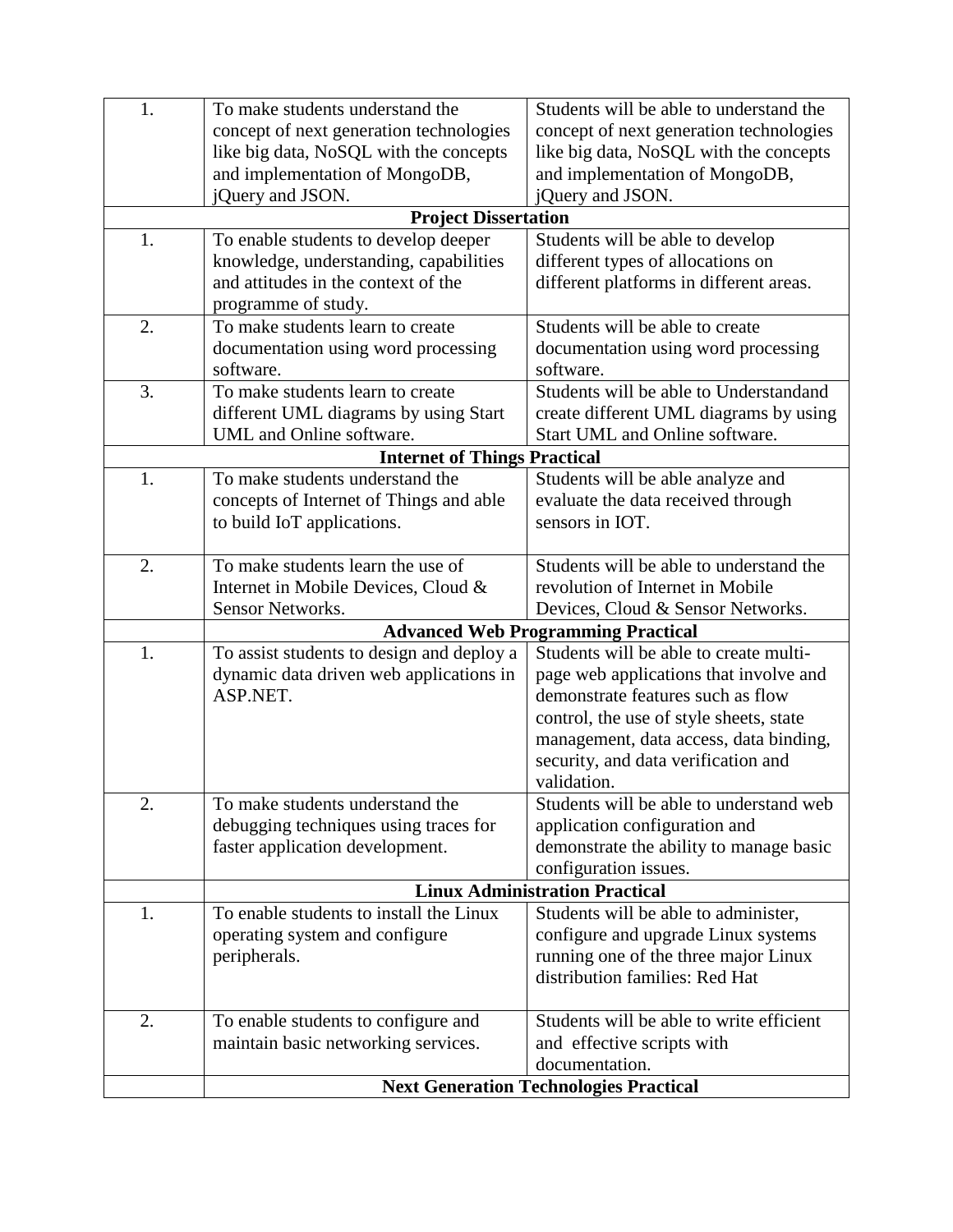| 1.                                  | To make students understand the           | Students will be able to understand the                                       |
|-------------------------------------|-------------------------------------------|-------------------------------------------------------------------------------|
|                                     | concept of next generation technologies   | concept of next generation technologies                                       |
|                                     | like big data, NoSQL with the concepts    | like big data, NoSQL with the concepts                                        |
|                                     | and implementation of MongoDB,            | and implementation of MongoDB,                                                |
|                                     | jQuery and JSON.                          | jQuery and JSON.                                                              |
|                                     | <b>Project Dissertation</b>               |                                                                               |
| 1.                                  | To enable students to develop deeper      | Students will be able to develop                                              |
|                                     | knowledge, understanding, capabilities    | different types of allocations on                                             |
|                                     | and attitudes in the context of the       | different platforms in different areas.                                       |
|                                     | programme of study.                       |                                                                               |
| 2.                                  | To make students learn to create          | Students will be able to create                                               |
|                                     | documentation using word processing       | documentation using word processing                                           |
|                                     | software.                                 | software.                                                                     |
| 3.                                  | To make students learn to create          | Students will be able to Understandand                                        |
|                                     | different UML diagrams by using Start     | create different UML diagrams by using                                        |
|                                     | UML and Online software.                  | Start UML and Online software.                                                |
| <b>Internet of Things Practical</b> |                                           |                                                                               |
| 1.                                  | To make students understand the           | Students will be able analyze and                                             |
|                                     | concepts of Internet of Things and able   | evaluate the data received through                                            |
|                                     | to build IoT applications.                | sensors in IOT.                                                               |
|                                     |                                           |                                                                               |
| 2.                                  | To make students learn the use of         | Students will be able to understand the                                       |
|                                     | Internet in Mobile Devices, Cloud &       | revolution of Internet in Mobile                                              |
|                                     | Sensor Networks.                          | Devices, Cloud & Sensor Networks.                                             |
|                                     |                                           | <b>Advanced Web Programming Practical</b>                                     |
| 1.                                  | To assist students to design and deploy a | Students will be able to create multi-                                        |
|                                     | dynamic data driven web applications in   | page web applications that involve and                                        |
|                                     | ASP.NET.                                  | demonstrate features such as flow                                             |
|                                     |                                           | control, the use of style sheets, state                                       |
|                                     |                                           | management, data access, data binding,<br>security, and data verification and |
|                                     |                                           | validation.                                                                   |
| 2.                                  | To make students understand the           | Students will be able to understand web                                       |
|                                     | debugging techniques using traces for     | application configuration and                                                 |
|                                     | faster application development.           | demonstrate the ability to manage basic                                       |
|                                     |                                           | configuration issues.                                                         |
|                                     |                                           | <b>Linux Administration Practical</b>                                         |
| 1.                                  | To enable students to install the Linux   | Students will be able to administer,                                          |
|                                     | operating system and configure            | configure and upgrade Linux systems                                           |
|                                     | peripherals.                              | running one of the three major Linux                                          |
|                                     |                                           | distribution families: Red Hat                                                |
|                                     |                                           |                                                                               |
| 2.                                  | To enable students to configure and       | Students will be able to write efficient                                      |
|                                     | maintain basic networking services.       | and effective scripts with                                                    |
|                                     |                                           | documentation.                                                                |
|                                     |                                           | <b>Next Generation Technologies Practical</b>                                 |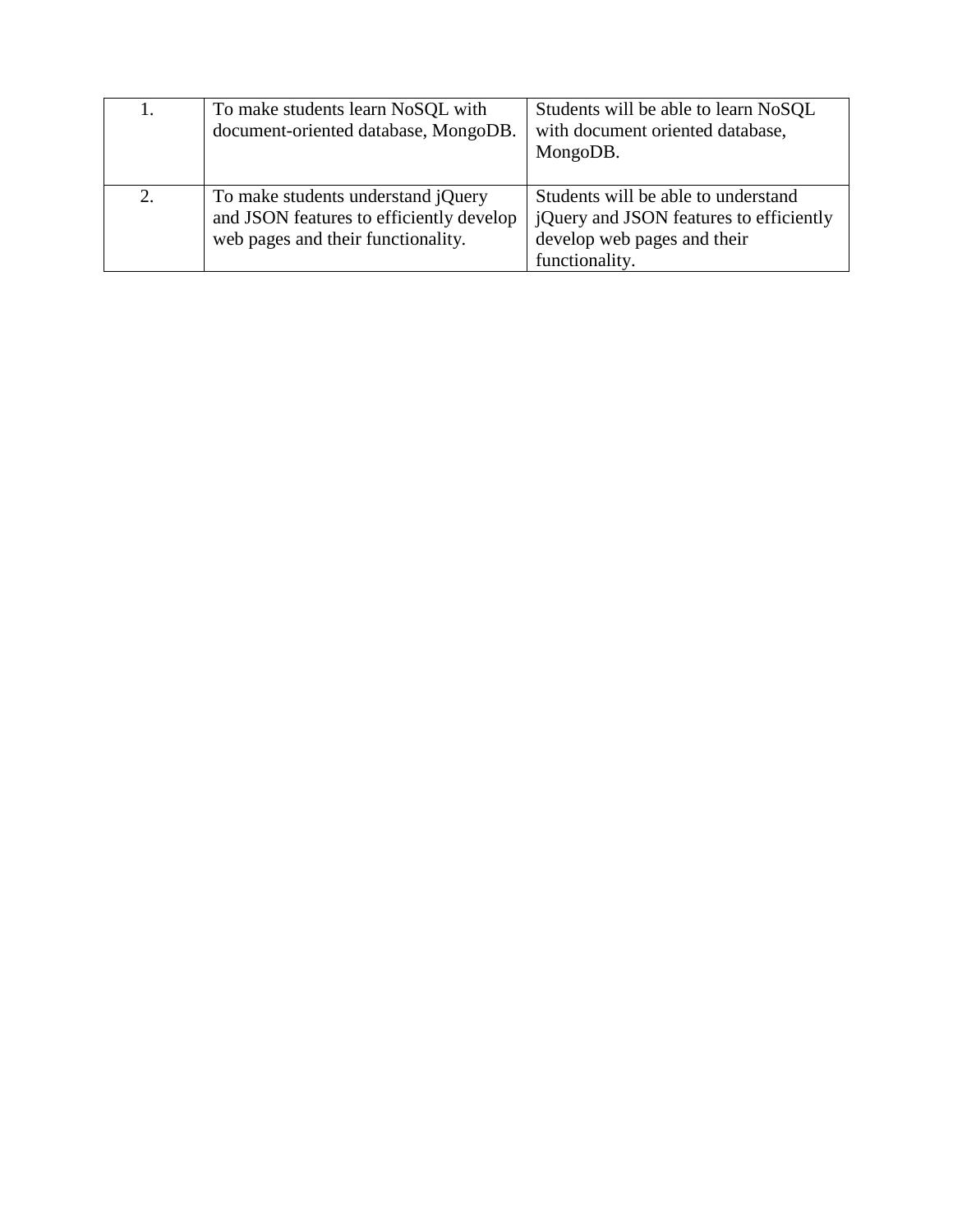| 1. | To make students learn NoSQL with<br>document-oriented database, MongoDB.                                                   | Students will be able to learn NoSQL<br>with document oriented database,<br>MongoDB.                                            |
|----|-----------------------------------------------------------------------------------------------------------------------------|---------------------------------------------------------------------------------------------------------------------------------|
| 2. | To make students understand <i>jQuery</i><br>and JSON features to efficiently develop<br>web pages and their functionality. | Students will be able to understand<br>jQuery and JSON features to efficiently<br>develop web pages and their<br>functionality. |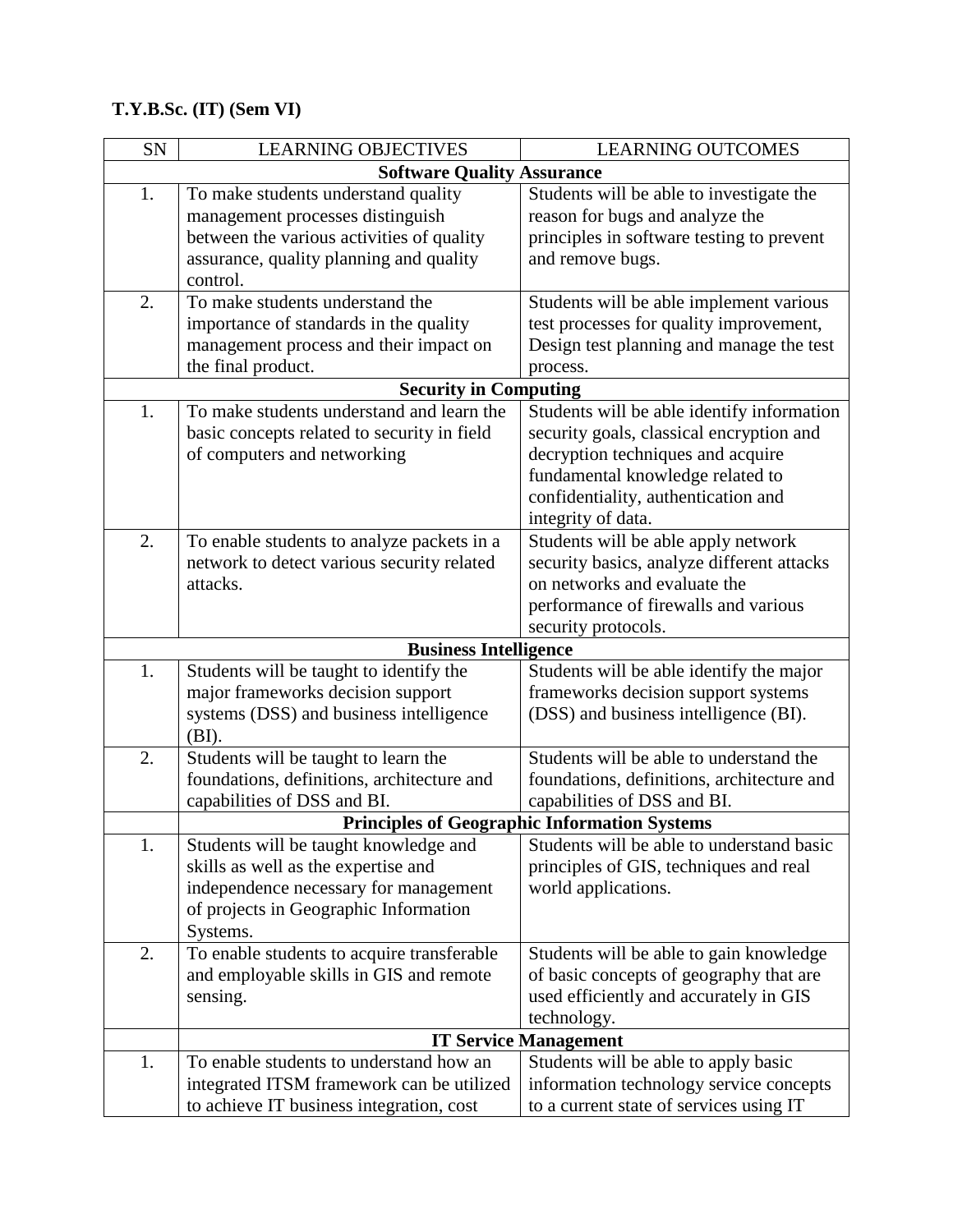## **T.Y.B.Sc. (IT) (Sem VI)**

| SN                                | <b>LEARNING OBJECTIVES</b>                  | <b>LEARNING OUTCOMES</b>                            |  |
|-----------------------------------|---------------------------------------------|-----------------------------------------------------|--|
| <b>Software Quality Assurance</b> |                                             |                                                     |  |
| 1.                                | To make students understand quality         | Students will be able to investigate the            |  |
|                                   | management processes distinguish            | reason for bugs and analyze the                     |  |
|                                   | between the various activities of quality   | principles in software testing to prevent           |  |
|                                   | assurance, quality planning and quality     | and remove bugs.                                    |  |
|                                   | control.                                    |                                                     |  |
| 2.                                | To make students understand the             | Students will be able implement various             |  |
|                                   | importance of standards in the quality      | test processes for quality improvement,             |  |
|                                   | management process and their impact on      | Design test planning and manage the test            |  |
|                                   | the final product.                          | process.                                            |  |
| <b>Security in Computing</b>      |                                             |                                                     |  |
| 1.                                | To make students understand and learn the   | Students will be able identify information          |  |
|                                   | basic concepts related to security in field | security goals, classical encryption and            |  |
|                                   | of computers and networking                 | decryption techniques and acquire                   |  |
|                                   |                                             | fundamental knowledge related to                    |  |
|                                   |                                             | confidentiality, authentication and                 |  |
|                                   |                                             | integrity of data.                                  |  |
| 2.                                | To enable students to analyze packets in a  | Students will be able apply network                 |  |
|                                   | network to detect various security related  | security basics, analyze different attacks          |  |
|                                   | attacks.                                    | on networks and evaluate the                        |  |
|                                   |                                             | performance of firewalls and various                |  |
|                                   |                                             | security protocols.                                 |  |
|                                   | <b>Business Intelligence</b>                |                                                     |  |
| 1.                                | Students will be taught to identify the     | Students will be able identify the major            |  |
|                                   | major frameworks decision support           | frameworks decision support systems                 |  |
|                                   | systems (DSS) and business intelligence     | (DSS) and business intelligence (BI).               |  |
|                                   | (BI).                                       |                                                     |  |
| 2.                                | Students will be taught to learn the        | Students will be able to understand the             |  |
|                                   | foundations, definitions, architecture and  | foundations, definitions, architecture and          |  |
|                                   | capabilities of DSS and BI.                 | capabilities of DSS and BI.                         |  |
|                                   |                                             | <b>Principles of Geographic Information Systems</b> |  |
| 1.                                | Students will be taught knowledge and       | Students will be able to understand basic           |  |
|                                   | skills as well as the expertise and         | principles of GIS, techniques and real              |  |
|                                   | independence necessary for management       | world applications.                                 |  |
|                                   | of projects in Geographic Information       |                                                     |  |
|                                   | Systems.                                    |                                                     |  |
| 2.                                | To enable students to acquire transferable  | Students will be able to gain knowledge             |  |
|                                   | and employable skills in GIS and remote     | of basic concepts of geography that are             |  |
|                                   | sensing.                                    | used efficiently and accurately in GIS              |  |
|                                   |                                             | technology.                                         |  |
|                                   |                                             | <b>IT Service Management</b>                        |  |
| 1.                                | To enable students to understand how an     | Students will be able to apply basic                |  |
|                                   | integrated ITSM framework can be utilized   | information technology service concepts             |  |
|                                   | to achieve IT business integration, cost    | to a current state of services using IT             |  |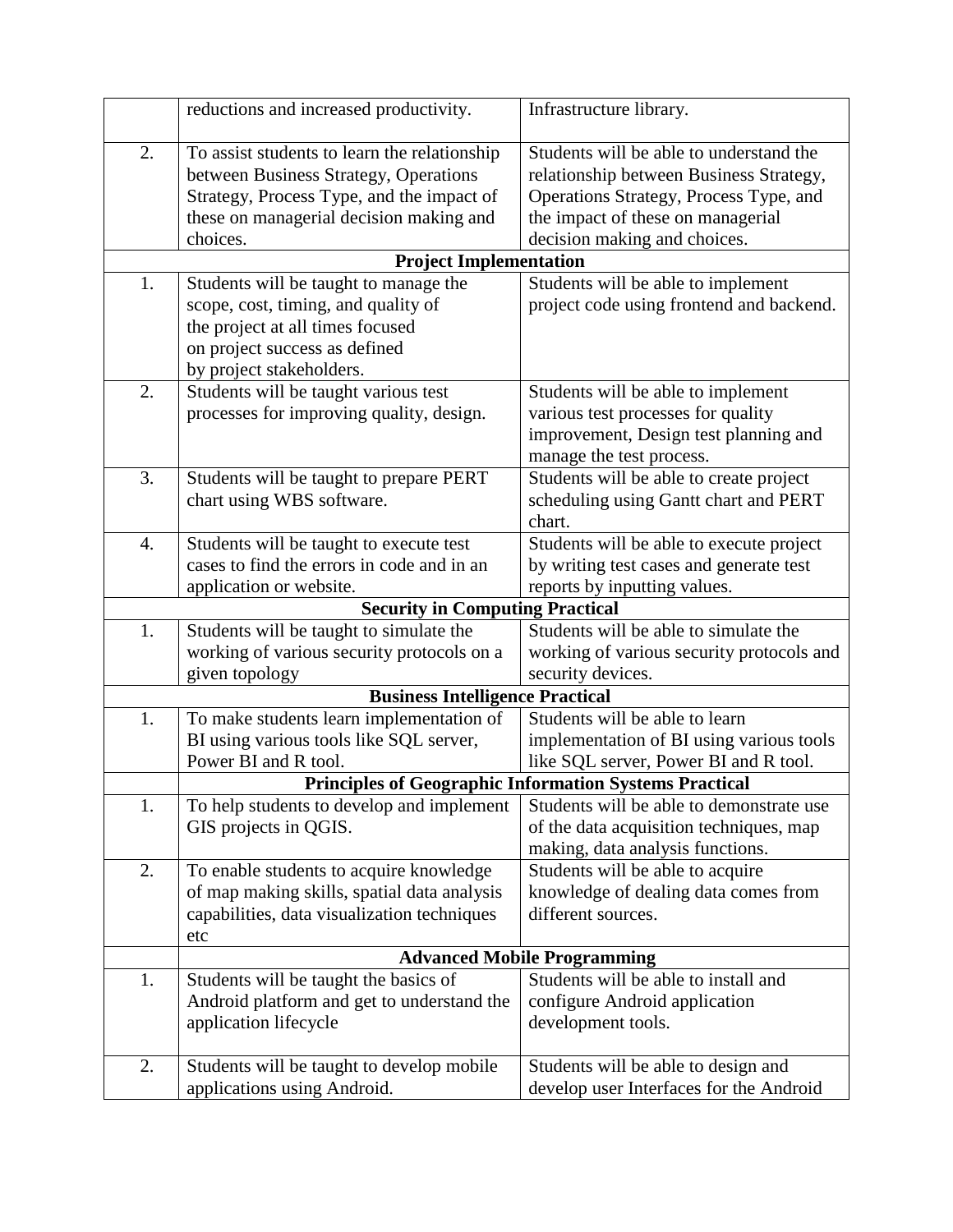|    | reductions and increased productivity.                                                                                                                                                    | Infrastructure library.                                                                                                                                                                           |
|----|-------------------------------------------------------------------------------------------------------------------------------------------------------------------------------------------|---------------------------------------------------------------------------------------------------------------------------------------------------------------------------------------------------|
| 2. | To assist students to learn the relationship<br>between Business Strategy, Operations<br>Strategy, Process Type, and the impact of<br>these on managerial decision making and<br>choices. | Students will be able to understand the<br>relationship between Business Strategy,<br>Operations Strategy, Process Type, and<br>the impact of these on managerial<br>decision making and choices. |
|    | <b>Project Implementation</b>                                                                                                                                                             |                                                                                                                                                                                                   |
| 1. | Students will be taught to manage the<br>scope, cost, timing, and quality of<br>the project at all times focused<br>on project success as defined<br>by project stakeholders.             | Students will be able to implement<br>project code using frontend and backend.                                                                                                                    |
| 2. | Students will be taught various test<br>processes for improving quality, design.                                                                                                          | Students will be able to implement<br>various test processes for quality<br>improvement, Design test planning and<br>manage the test process.                                                     |
| 3. | Students will be taught to prepare PERT<br>chart using WBS software.                                                                                                                      | Students will be able to create project<br>scheduling using Gantt chart and PERT<br>chart.                                                                                                        |
| 4. | Students will be taught to execute test<br>cases to find the errors in code and in an<br>application or website.                                                                          | Students will be able to execute project<br>by writing test cases and generate test<br>reports by inputting values.                                                                               |
|    | <b>Security in Computing Practical</b>                                                                                                                                                    |                                                                                                                                                                                                   |
| 1. | Students will be taught to simulate the<br>working of various security protocols on a<br>given topology                                                                                   | Students will be able to simulate the<br>working of various security protocols and<br>security devices.                                                                                           |
|    | <b>Business Intelligence Practical</b>                                                                                                                                                    |                                                                                                                                                                                                   |
| 1. | To make students learn implementation of<br>BI using various tools like SQL server,<br>Power BI and R tool.                                                                               | Students will be able to learn<br>implementation of BI using various tools<br>like SQL server, Power BI and R tool.                                                                               |
|    |                                                                                                                                                                                           | <b>Principles of Geographic Information Systems Practical</b>                                                                                                                                     |
| 1. | To help students to develop and implement<br>GIS projects in QGIS.                                                                                                                        | Students will be able to demonstrate use<br>of the data acquisition techniques, map<br>making, data analysis functions.                                                                           |
| 2. | To enable students to acquire knowledge<br>of map making skills, spatial data analysis<br>capabilities, data visualization techniques<br>etc                                              | Students will be able to acquire<br>knowledge of dealing data comes from<br>different sources.                                                                                                    |
|    |                                                                                                                                                                                           | <b>Advanced Mobile Programming</b>                                                                                                                                                                |
| 1. | Students will be taught the basics of<br>Android platform and get to understand the<br>application lifecycle                                                                              | Students will be able to install and<br>configure Android application<br>development tools.                                                                                                       |
| 2. | Students will be taught to develop mobile<br>applications using Android.                                                                                                                  | Students will be able to design and<br>develop user Interfaces for the Android                                                                                                                    |